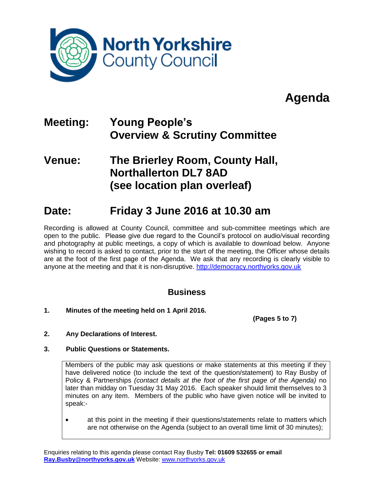

## **Agenda**

## **Meeting: Young People's Overview & Scrutiny Committee**

### **Venue: The Brierley Room, County Hall, Northallerton DL7 8AD (see location plan overleaf)**

### **Date: Friday 3 June 2016 at 10.30 am**

Recording is allowed at County Council, committee and sub-committee meetings which are open to the public. Please give due regard to the Council's protocol on audio/visual recording and photography at public meetings, a copy of which is available to download below. Anyone wishing to record is asked to contact, prior to the start of the meeting, the Officer whose details are at the foot of the first page of the Agenda. We ask that any recording is clearly visible to anyone at the meeting and that it is non-disruptive. [http://democracy.northyorks.gov.uk](http://democracy.northyorks.gov.uk/)

### **Business**

**1. Minutes of the meeting held on 1 April 2016.**

**(Pages 5 to 7)**

- **2. Any Declarations of Interest.**
- **3. Public Questions or Statements.**

Members of the public may ask questions or make statements at this meeting if they have delivered notice (to include the text of the question/statement) to Ray Busby of Policy & Partnerships *(contact details at the foot of the first page of the Agenda)* no later than midday on Tuesday 31 May 2016. Each speaker should limit themselves to 3 minutes on any item. Members of the public who have given notice will be invited to speak:-

 at this point in the meeting if their questions/statements relate to matters which are not otherwise on the Agenda (subject to an overall time limit of 30 minutes);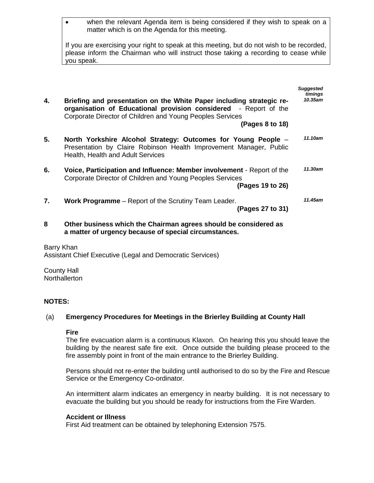| when the relevant Agenda item is being considered if they wish to speak on a |
|------------------------------------------------------------------------------|
| matter which is on the Agenda for this meeting.                              |

If you are exercising your right to speak at this meeting, but do not wish to be recorded, please inform the Chairman who will instruct those taking a recording to cease while you speak.

| 4. | Briefing and presentation on the White Paper including strategic re-                                                                                                     | <b>Suggested</b><br>timings<br>10.35am |
|----|--------------------------------------------------------------------------------------------------------------------------------------------------------------------------|----------------------------------------|
|    | organisation of Educational provision considered - Report of the<br>Corporate Director of Children and Young Peoples Services                                            |                                        |
|    | (Pages 8 to 18)                                                                                                                                                          |                                        |
| 5. | North Yorkshire Alcohol Strategy: Outcomes for Young People -<br>Presentation by Claire Robinson Health Improvement Manager, Public<br>Health, Health and Adult Services | 11.10am                                |
| 6. | Voice, Participation and Influence: Member involvement - Report of the<br>Corporate Director of Children and Young Peoples Services<br>(Pages 19 to 26)                  | 11.30am                                |
| 7. | <b>Work Programme</b> – Report of the Scrutiny Team Leader.<br>(Pages 27 to 31)                                                                                          | 11.45am                                |

**8 Other business which the Chairman agrees should be considered as a matter of urgency because of special circumstances.**

Barry Khan Assistant Chief Executive (Legal and Democratic Services)

County Hall **Northallerton** 

#### **NOTES:**

#### (a) **Emergency Procedures for Meetings in the Brierley Building at County Hall**

#### **Fire**

The fire evacuation alarm is a continuous Klaxon. On hearing this you should leave the building by the nearest safe fire exit. Once outside the building please proceed to the fire assembly point in front of the main entrance to the Brierley Building.

Persons should not re-enter the building until authorised to do so by the Fire and Rescue Service or the Emergency Co-ordinator.

An intermittent alarm indicates an emergency in nearby building. It is not necessary to evacuate the building but you should be ready for instructions from the Fire Warden.

#### **Accident or Illness**

First Aid treatment can be obtained by telephoning Extension 7575.